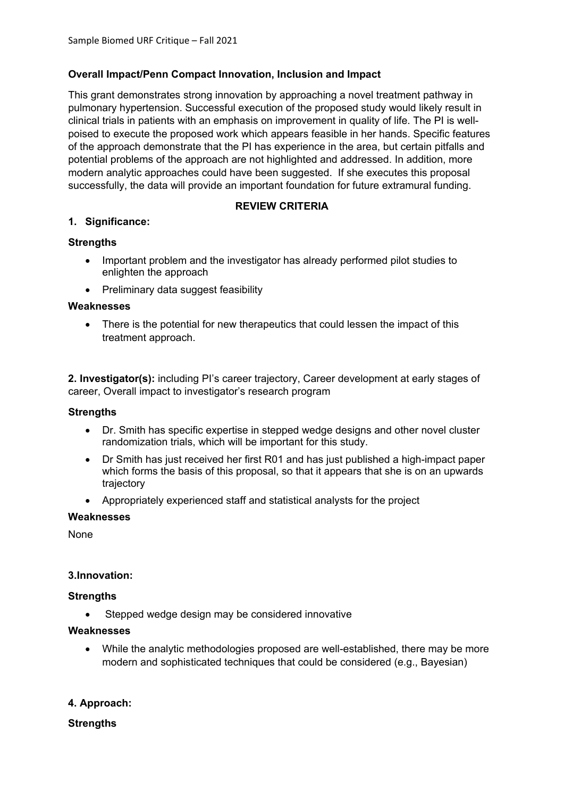# **Overall Impact/Penn Compact Innovation, Inclusion and Impact**

This grant demonstrates strong innovation by approaching a novel treatment pathway in pulmonary hypertension. Successful execution of the proposed study would likely result in clinical trials in patients with an emphasis on improvement in quality of life. The PI is wellpoised to execute the proposed work which appears feasible in her hands. Specific features of the approach demonstrate that the PI has experience in the area, but certain pitfalls and potential problems of the approach are not highlighted and addressed. In addition, more modern analytic approaches could have been suggested. If she executes this proposal successfully, the data will provide an important foundation for future extramural funding.

## **REVIEW CRITERIA**

## **1. Significance:**

## **Strengths**

- Important problem and the investigator has already performed pilot studies to enlighten the approach
- Preliminary data suggest feasibility

#### **Weaknesses**

• There is the potential for new therapeutics that could lessen the impact of this treatment approach.

**2. Investigator(s):** including PI's career trajectory, Career development at early stages of career, Overall impact to investigator's research program

#### **Strengths**

- Dr. Smith has specific expertise in stepped wedge designs and other novel cluster randomization trials, which will be important for this study.
- Dr Smith has just received her first R01 and has just published a high-impact paper which forms the basis of this proposal, so that it appears that she is on an upwards trajectory
- Appropriately experienced staff and statistical analysts for the project

#### **Weaknesses**

None

#### **3.Innovation:**

#### **Strengths**

• Stepped wedge design may be considered innovative

#### **Weaknesses**

• While the analytic methodologies proposed are well-established, there may be more modern and sophisticated techniques that could be considered (e.g., Bayesian)

## **4. Approach:**

#### **Strengths**